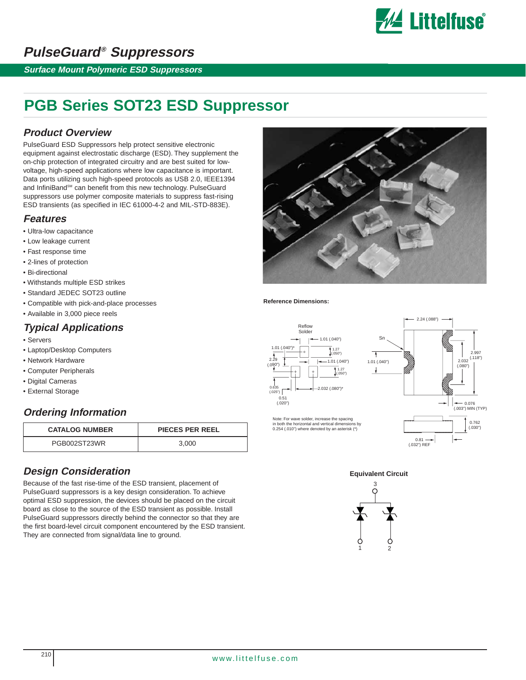

# **PulseGuard® Suppressors**

**Surface Mount Polymeric ESD Suppressors**

# **PGB Series SOT23 ESD Suppressor**

## **Product Overview**

PulseGuard ESD Suppressors help protect sensitive electronic equipment against electrostatic discharge (ESD). They supplement the on-chip protection of integrated circuitry and are best suited for lowvoltage, high-speed applications where low capacitance is important. Data ports utilizing such high-speed protocols as USB 2.0, IEEE1394 and InfiniBand<sup>sM</sup> can benefit from this new technology. PulseGuard suppressors use polymer composite materials to suppress fast-rising ESD transients (as specified in IEC 61000-4-2 and MIL-STD-883E).

## **Features**

- Ultra-low capacitance
- Low leakage current
- Fast response time
- 2-lines of protection
- Bi-directional
- Withstands multiple ESD strikes
- Standard JEDEC SOT23 outline
- Compatible with pick-and-place processes
- Available in 3,000 piece reels

## **Typical Applications**

- Servers
- Laptop/Desktop Computers
- Network Hardware
- Computer Peripherals
- Digital Cameras
- External Storage

## **Ordering Information**

| <b>CATALOG NUMBER</b> | PIECES PER REEL |
|-----------------------|-----------------|
| PGB002ST23WR          | 3.000           |

## **Design Consideration**

Because of the fast rise-time of the ESD transient, placement of PulseGuard suppressors is a key design consideration. To achieve optimal ESD suppression, the devices should be placed on the circuit board as close to the source of the ESD transient as possible. Install PulseGuard suppressors directly behind the connector so that they are the first board-level circuit component encountered by the ESD transient. They are connected from signal/data line to ground.



#### **Reference Dimensions:**





**Equivalent Circuit**